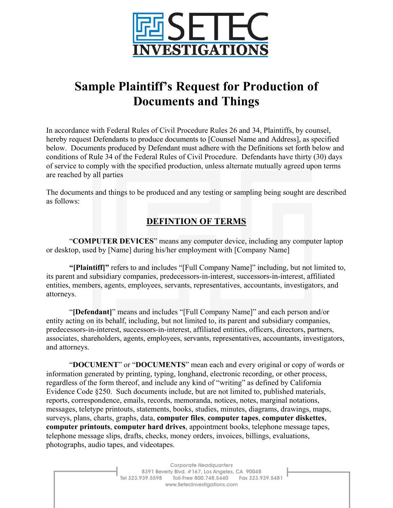

## **Sample Plaintiff's Request for Production of Documents and Things**

In accordance with Federal Rules of Civil Procedure Rules 26 and 34, Plaintiffs, by counsel, hereby request Defendants to produce documents to [Counsel Name and Address], as specified below. Documents produced by Defendant must adhere with the Definitions set forth below and conditions of Rule 34 of the Federal Rules of Civil Procedure. Defendants have thirty (30) days of service to comply with the specified production, unless alternate mutually agreed upon terms are reached by all parties

The documents and things to be produced and any testing or sampling being sought are described as follows:

## **DEFINTION OF TERMS**

"**COMPUTER DEVICES**" means any computer device, including any computer laptop or desktop, used by [Name] during his/her employment with [Company Name]

**"[Plaintiff]"** refers to and includes "[Full Company Name]" including, but not limited to, its parent and subsidiary companies, predecessors-in-interest, successors-in-interest, affiliated entities, members, agents, employees, servants, representatives, accountants, investigators, and attorneys.

"**[Defendant]**" means and includes "[Full Company Name]" and each person and/or entity acting on its behalf, including, but not limited to, its parent and subsidiary companies, predecessors-in-interest, successors-in-interest, affiliated entities, officers, directors, partners, associates, shareholders, agents, employees, servants, representatives, accountants, investigators, and attorneys.

"**DOCUMENT**" or "**DOCUMENTS**" mean each and every original or copy of words or information generated by printing, typing, longhand, electronic recording, or other process, regardless of the form thereof, and include any kind of "writing" as defined by California Evidence Code §250. Such documents include, but are not limited to, published materials, reports, correspondence, emails, records, memoranda, notices, notes, marginal notations, messages, teletype printouts, statements, books, studies, minutes, diagrams, drawings, maps, surveys, plans, charts, graphs, data, **computer files**, **computer tapes**, **computer diskettes**, **computer printouts**, **computer hard drives**, appointment books, telephone message tapes, telephone message slips, drafts, checks, money orders, invoices, billings, evaluations, photographs, audio tapes, and videotapes.

> Corporate Headquarters 8391 Beverly Blvd. #167, Los Angeles, CA 90048 Tel 323.939.5598 Toll-Free 800.748.5440 Fax 323.939.5481 www.SetecInvestigations.com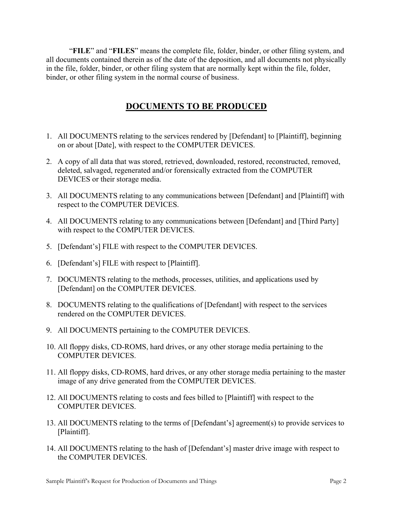"**FILE**" and "**FILES**" means the complete file, folder, binder, or other filing system, and all documents contained therein as of the date of the deposition, and all documents not physically in the file, folder, binder, or other filing system that are normally kept within the file, folder, binder, or other filing system in the normal course of business.

## **DOCUMENTS TO BE PRODUCED**

- 1. All DOCUMENTS relating to the services rendered by [Defendant] to [Plaintiff], beginning on or about [Date], with respect to the COMPUTER DEVICES.
- 2. A copy of all data that was stored, retrieved, downloaded, restored, reconstructed, removed, deleted, salvaged, regenerated and/or forensically extracted from the COMPUTER DEVICES or their storage media.
- 3. All DOCUMENTS relating to any communications between [Defendant] and [Plaintiff] with respect to the COMPUTER DEVICES.
- 4. All DOCUMENTS relating to any communications between [Defendant] and [Third Party] with respect to the COMPUTER DEVICES.
- 5. [Defendant's] FILE with respect to the COMPUTER DEVICES.
- 6. [Defendant's] FILE with respect to [Plaintiff].
- 7. DOCUMENTS relating to the methods, processes, utilities, and applications used by [Defendant] on the COMPUTER DEVICES.
- 8. DOCUMENTS relating to the qualifications of [Defendant] with respect to the services rendered on the COMPUTER DEVICES.
- 9. All DOCUMENTS pertaining to the COMPUTER DEVICES.
- 10. All floppy disks, CD-ROMS, hard drives, or any other storage media pertaining to the COMPUTER DEVICES.
- 11. All floppy disks, CD-ROMS, hard drives, or any other storage media pertaining to the master image of any drive generated from the COMPUTER DEVICES.
- 12. All DOCUMENTS relating to costs and fees billed to [Plaintiff] with respect to the COMPUTER DEVICES.
- 13. All DOCUMENTS relating to the terms of [Defendant's] agreement(s) to provide services to [Plaintiff].
- 14. All DOCUMENTS relating to the hash of [Defendant's] master drive image with respect to the COMPUTER DEVICES.